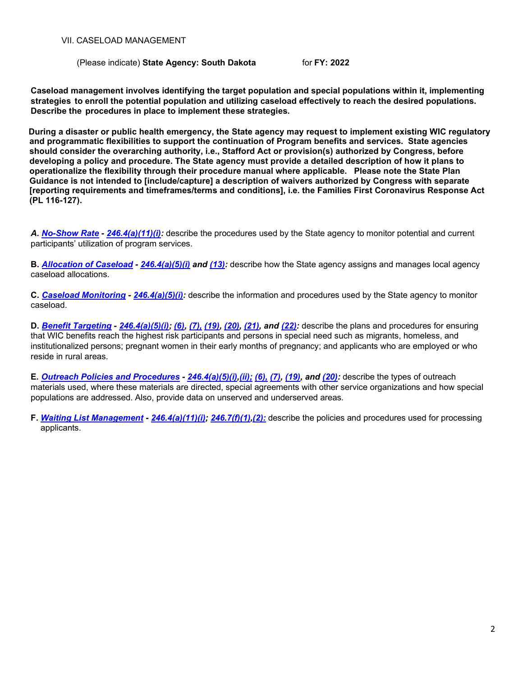(Please indicate) **State Agency: South Dakota** for **FY: 2022**

**Caseload management involves identifying the target population and special populations within it, implementing strategies to enroll the potential population and utilizing caseload effectively to reach the desired populations. Describe the procedures in place to implement these strategies.**

**During a disaster or public health emergency, the State agency may request to implement existing WIC regulatory and programmatic flexibilities to support the continuation of Program benefits and services. State agencies should consider the overarching authority, i.e., Stafford Act or provision(s) authorized by Congress, before developing a policy and procedure. The State agency must provide a detailed description of how it plans to operationalize the flexibility through their procedure manual where applicable. Please note the State Plan Guidance is not intended to [include/capture] a description of waivers authorized by Congress with separate [reporting requirements and timeframes/terms and conditions], i.e. the Families First Coronavirus Response Act (PL 116-127).**

*A. [No-Show Rate](#page-1-0) - [246.4\(a\)\(11\)\(i\):](https://ecfr.federalregister.gov/current/title-7/subtitle-B/chapter-II/subchapter-A/part-246#p-246.4(a)(11)(i))* describe the procedures used by the State agency to monitor potential and current participants' utilization of program services.

**B.** *[Allocation](#page-2-0) of Caseload - [246.4\(a\)\(5\)\(i\)](https://ecfr.federalregister.gov/current/title-7/subtitle-B/chapter-II/subchapter-A/part-246#p-246.4(a)(5)(i)) and [\(13\):](https://ecfr.federalregister.gov/current/title-7/subtitle-B/chapter-II/subchapter-A/part-246#p-246.4(a)(13))* describe how the State agency assigns and manages local agency caseload allocations.

**C.** *Caseload [Monitoring](#page-4-0) - [246.4\(a\)\(5\)\(i\):](https://ecfr.federalregister.gov/current/title-7/subtitle-B/chapter-II/subchapter-A/part-246#p-246.4(a)(5)(i))* describe the information and procedures used by the State agency to monitor caseload.

**D.** *[Benefit Targeting](#page-5-0) - [246.4\(a\)\(5\)\(i\);](https://ecfr.federalregister.gov/current/title-7/subtitle-B/chapter-II/subchapter-A/part-246#p-246.4(a)(5)(i)) [\(6\),](https://ecfr.federalregister.gov/current/title-7/subtitle-B/chapter-II/subchapter-A/part-246#p-246.4(a)(6)) [\(7\),](https://ecfr.federalregister.gov/current/title-7/subtitle-B/chapter-II/subchapter-A/part-246#p-246.4(a)(7)) [\(19\),](https://ecfr.federalregister.gov/current/title-7/subtitle-B/chapter-II/subchapter-A/part-246#p-246.4(a)(19)) [\(20\),](https://ecfr.federalregister.gov/current/title-7/subtitle-B/chapter-II/subchapter-A/part-246#p-246.4(a)(20)) [\(21\),](https://ecfr.federalregister.gov/current/title-7/subtitle-B/chapter-II/subchapter-A/part-246#p-246.4(a)(21)) and [\(22\):](https://ecfr.federalregister.gov/current/title-7/subtitle-B/chapter-II/subchapter-A/part-246#p-246.4(a)(22))* describe the plans and procedures for ensuring that WIC benefits reach the highest risk participants and persons in special need such as migrants, homeless, and institutionalized persons; pregnant women in their early months of pregnancy; and applicants who are employed or who reside in rural areas.

**E.** *Outreach Policies [and Procedures](#page-6-0) - [246.4\(a\)\(5\)\(i\)](https://ecfr.federalregister.gov/current/title-7/subtitle-B/chapter-II/subchapter-A/part-246#p-246.4(a)(5)(i))[,\(ii\);](https://ecfr.federalregister.gov/current/title-7/subtitle-B/chapter-II/subchapter-A/part-246#p-246.4(a)(5)(ii)) [\(6\),](https://ecfr.federalregister.gov/current/title-7/subtitle-B/chapter-II/subchapter-A/part-246#p-246.4(a)(6)) [\(7\),](https://ecfr.federalregister.gov/current/title-7/subtitle-B/chapter-II/subchapter-A/part-246#p-246.4(a)(7)) [\(19\),](https://ecfr.federalregister.gov/current/title-7/subtitle-B/chapter-II/subchapter-A/part-246#p-246.4(a)(19)) and [\(20\):](https://ecfr.federalregister.gov/current/title-7/subtitle-B/chapter-II/subchapter-A/part-246#p-246.4(a)(20))* describe the types of outreach materials used, where these materials are directed, special agreements with other service organizations and how special populations are addressed. Also, provide data on unserved and underserved areas.

**F.** *Waiting List [Management](#page-12-0) - [246.4\(a\)\(11\)\(i\);](https://ecfr.federalregister.gov/current/title-7/subtitle-B/chapter-II/subchapter-A/part-246#p-246.4(a)(11)(i)) [246.7\(f\)\(1\)](https://ecfr.federalregister.gov/current/title-7/subtitle-B/chapter-II/subchapter-A/part-246#p-246.7(f)(1))[,\(2\):](https://ecfr.federalregister.gov/current/title-7/subtitle-B/chapter-II/subchapter-A/part-246#p-246.7(f)(2))* describe the policies and procedures used for processing applicants.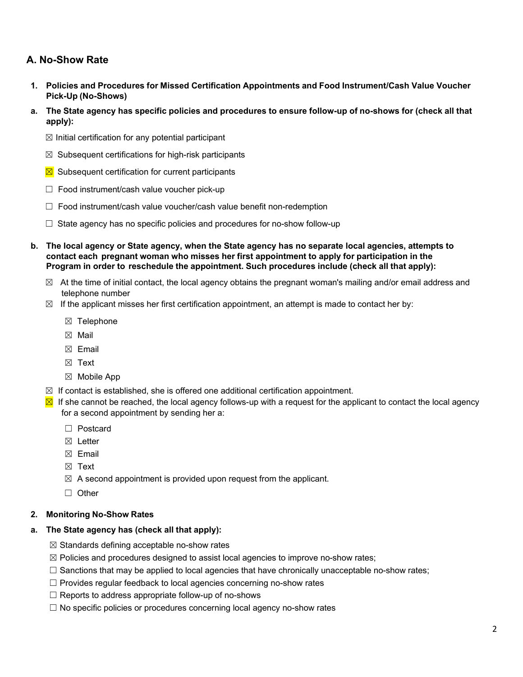# <span id="page-1-0"></span>**A. No-Show Rate**

- **1. Policies and Procedures for Missed Certification Appointments and Food Instrument/Cash Value Voucher Pick-Up (No-Shows)**
- a. The State agency has specific policies and procedures to ensure follow-up of no-shows for (check all that **apply):**
	- $\boxtimes$  Initial certification for any potential participant
	- $\boxtimes$  Subsequent certifications for high-risk participants
	- $\boxtimes$  Subsequent certification for current participants
	- ☐ Food instrument/cash value voucher pick-up
	- ☐ Food instrument/cash value voucher/cash value benefit non-redemption
	- $\Box$  State agency has no specific policies and procedures for no-show follow-up
- **b. The local agency or State agency, when the State agency has no separate local agencies, attempts to contact each pregnant woman who misses her first appointment to apply for participation in the Program in order to reschedule the appointment. Such procedures include (check all that apply):**
	- $\boxtimes$  At the time of initial contact, the local agency obtains the pregnant woman's mailing and/or email address and telephone number
	- $\boxtimes$  If the applicant misses her first certification appointment, an attempt is made to contact her by:
		- ☒ Telephone
		- ☒ Mail
		- $\boxtimes$  Email
		- ☒ Text
		- ☒ Mobile App
	- $\boxtimes$  If contact is established, she is offered one additional certification appointment.
	- $\Sigma$  If she cannot be reached, the local agency follows-up with a request for the applicant to contact the local agency for a second appointment by sending her a:
		- ☐ Postcard
		- ☒ Letter
		- $\boxtimes$  Email
		- ☒ Text
		- $\boxtimes$  A second appointment is provided upon request from the applicant.
		- ☐ Other

#### **2. Monitoring No-Show Rates**

#### **a. The State agency has (check all that apply):**

- $\boxtimes$  Standards defining acceptable no-show rates
- ☒ Policies and procedures designed to assist local agencies to improve no-show rates;
- $\Box$  Sanctions that may be applied to local agencies that have chronically unacceptable no-show rates;
- ☐ Provides regular feedback to local agencies concerning no-show rates
- $\Box$  Reports to address appropriate follow-up of no-shows
- ☐ No specific policies or procedures concerning local agency no-show rates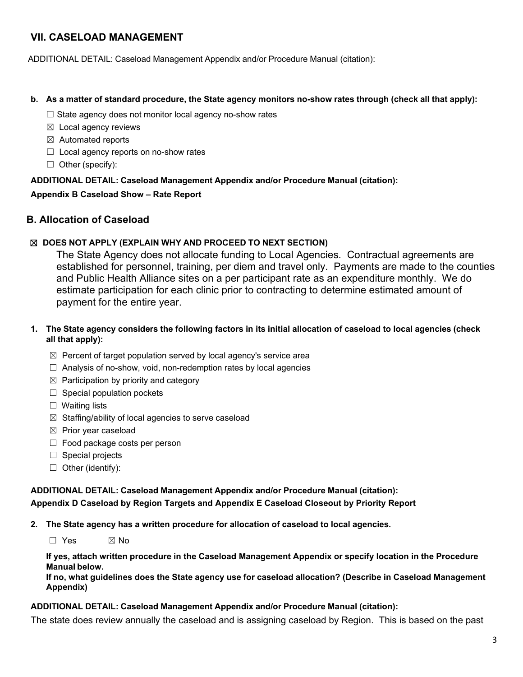ADDITIONAL DETAIL: Caseload Management Appendix and/or Procedure Manual (citation):

#### b. As a matter of standard procedure, the State agency monitors no-show rates through (check all that apply):

- $\Box$  State agency does not monitor local agency no-show rates
- ☒ Local agency reviews
- $\boxtimes$  Automated reports
- $\Box$  Local agency reports on no-show rates
- $\Box$  Other (specify):

### **ADDITIONAL DETAIL: Caseload Management Appendix and/or Procedure Manual (citation):**

### **Appendix B Caseload Show – Rate Report**

# <span id="page-2-0"></span>**B. Allocation of Caseload**

### ☒ **DOES NOT APPLY (EXPLAIN WHY AND PROCEED TO NEXT SECTION)**

The State Agency does not allocate funding to Local Agencies. Contractual agreements are established for personnel, training, per diem and travel only. Payments are made to the counties and Public Health Alliance sites on a per participant rate as an expenditure monthly. We do estimate participation for each clinic prior to contracting to determine estimated amount of payment for the entire year.

### 1. The State agency considers the following factors in its initial allocation of caseload to local agencies (check **all that apply):**

- ☒ Percent of target population served by local agency's service area
- $\Box$  Analysis of no-show, void, non-redemption rates by local agencies
- $\boxtimes$  Participation by priority and category
- $\Box$  Special population pockets
- □ Waiting lists
- ☒ Staffing/ability of local agencies to serve caseload
- $\boxtimes$  Prior year caseload
- $\Box$  Food package costs per person
- □ Special projects
- $\Box$  Other (identify):

# **ADDITIONAL DETAIL: Caseload Management Appendix and/or Procedure Manual (citation):**

**Appendix D Caseload by Region Targets and Appendix E Caseload Closeout by Priority Report**

**2. The State agency has a written procedure for allocation of caseload to local agencies.**

☐ Yes ☒ No

**If yes, attach written procedure in the Caseload Management Appendix or specify location in the Procedure Manual below.**

**If no, what guidelines does the State agency use for caseload allocation? (Describe in Caseload Management Appendix)**

#### **ADDITIONAL DETAIL: Caseload Management Appendix and/or Procedure Manual (citation):**

The state does review annually the caseload and is assigning caseload by Region. This is based on the past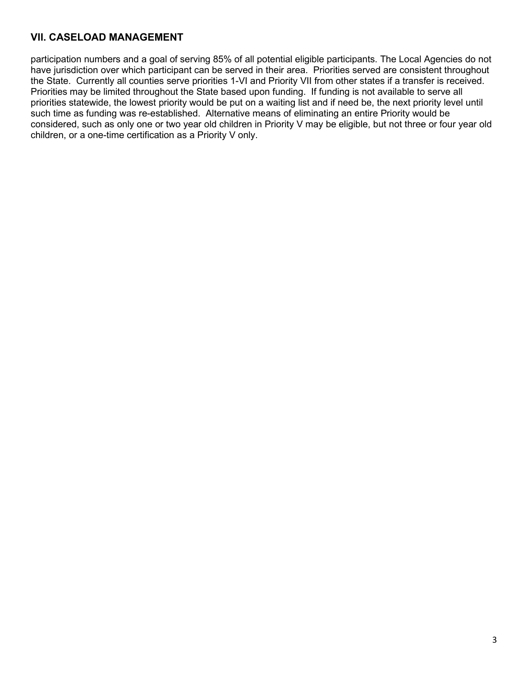participation numbers and a goal of serving 85% of all potential eligible participants. The Local Agencies do not have jurisdiction over which participant can be served in their area. Priorities served are consistent throughout the State. Currently all counties serve priorities 1-VI and Priority VII from other states if a transfer is received. Priorities may be limited throughout the State based upon funding. If funding is not available to serve all priorities statewide, the lowest priority would be put on a waiting list and if need be, the next priority level until such time as funding was re-established. Alternative means of eliminating an entire Priority would be considered, such as only one or two year old children in Priority V may be eligible, but not three or four year old children, or a one-time certification as a Priority V only.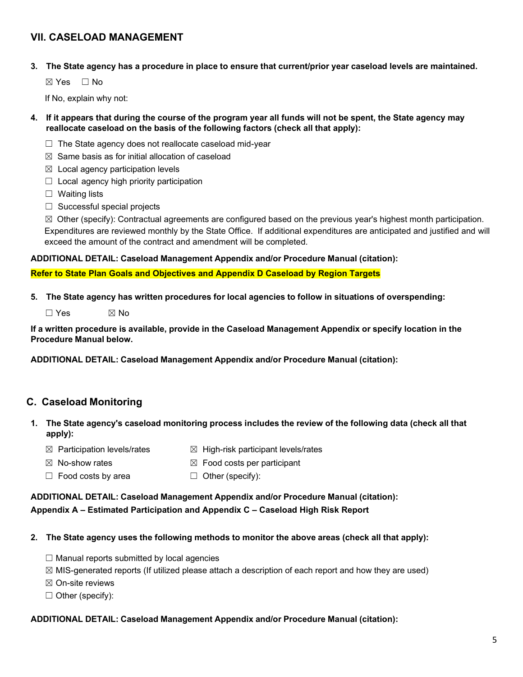3. The State agency has a procedure in place to ensure that current/prior year caseload levels are maintained.

☒ Yes ☐ No

If No, explain why not:

- 4. If it appears that during the course of the program year all funds will not be spent, the State agency may **reallocate caseload on the basis of the following factors (check all that apply):**
	- $\Box$  The State agency does not reallocate caseload mid-year
	- $\boxtimes$  Same basis as for initial allocation of caseload
	- $\boxtimes$  Local agency participation levels
	- $\Box$  Local agency high priority participation
	- ☐ Waiting lists
	- $\Box$  Successful special projects

 $\boxtimes$  Other (specify): Contractual agreements are configured based on the previous year's highest month participation. Expenditures are reviewed monthly by the State Office. If additional expenditures are anticipated and justified and will exceed the amount of the contract and amendment will be completed.

#### **ADDITIONAL DETAIL: Caseload Management Appendix and/or Procedure Manual (citation):**

**Refer to State Plan Goals and Objectives and Appendix D Caseload by Region Targets**

**5. The State agency has written procedures for local agencies to follow in situations of overspending:**

 $\Box$  Yes  $\boxtimes$  No

If a written procedure is available, provide in the Caseload Management Appendix or specify location in the **Procedure Manual below.**

**ADDITIONAL DETAIL: Caseload Management Appendix and/or Procedure Manual (citation):**

# <span id="page-4-0"></span>**C. Caseload Monitoring**

- 1. The State agency's caseload monitoring process includes the review of the following data (check all that **apply):**
	- $\boxtimes$  Participation levels/rates  $\boxtimes$  High-risk participant levels/rates
	- $\boxtimes$  No-show rates  $\boxtimes$  Food costs per participant
	- ☐ Food costs by area ☐ Other (specify):

### **ADDITIONAL DETAIL: Caseload Management Appendix and/or Procedure Manual (citation): Appendix A – Estimated Participation and Appendix C – Caseload High Risk Report**

- **2. The State agency uses the following methods to monitor the above areas (check all that apply):**
	- $\Box$  Manual reports submitted by local agencies
	- $\boxtimes$  MIS-generated reports (If utilized please attach a description of each report and how they are used)
	- ☒ On-site reviews
	- $\Box$  Other (specify):

#### **ADDITIONAL DETAIL: Caseload Management Appendix and/or Procedure Manual (citation):**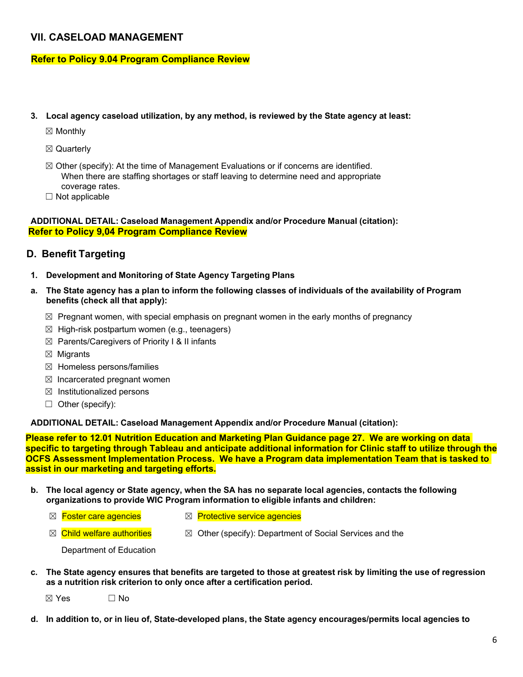#### **Refer to Policy 9.04 Program Compliance Review**

- **3. Local agency caseload utilization, by any method, is reviewed by the State agency at least:**
	- ☒ Monthly
	- ☒ Quarterly
	- $\boxtimes$  Other (specify): At the time of Management Evaluations or if concerns are identified. When there are staffing shortages or staff leaving to determine need and appropriate coverage rates.
	- $\Box$  Not applicable

#### **ADDITIONAL DETAIL: Caseload Management Appendix and/or Procedure Manual (citation): Refer to Policy 9,04 Program Compliance Review**

### <span id="page-5-0"></span>**D. Benefit Targeting**

- **1. Development and Monitoring of State Agency Targeting Plans**
- a. The State agency has a plan to inform the following classes of individuals of the availability of Program **benefits (check all that apply):**
	- $\boxtimes$  Pregnant women, with special emphasis on pregnant women in the early months of pregnancy
	- $\boxtimes$  High-risk postpartum women (e.g., teenagers)
	- $\boxtimes$  Parents/Caregivers of Priority I & II infants
	- $\boxtimes$  Migrants
	- ☒ Homeless persons/families
	- $\boxtimes$  Incarcerated pregnant women
	- $\boxtimes$  Institutionalized persons
	- $\Box$  Other (specify):

**ADDITIONAL DETAIL: Caseload Management Appendix and/or Procedure Manual (citation):**

**Please refer to 12.01 Nutrition Education and Marketing Plan Guidance page 27. We are working on data specific to targeting through Tableau and anticipate additional information for Clinic staff to utilize through the OCFS Assessment Implementation Process. We have a Program data implementation Team that is tasked to assist in our marketing and targeting efforts.**

- b. The local agency or State agency, when the SA has no separate local agencies, contacts the following **organizations to provide WIC Program information to eligible infants and children:**
	-
	- **⊠** Foster care agencies <br>**IM** Protective service agencies
	- $\boxtimes$  Child welfare authorities  $\boxtimes$  Other (specify): Department of Social Services and the

Department of Education

c. The State agency ensures that benefits are targeted to those at greatest risk by limiting the use of regression **as a nutrition risk criterion to only once after a certification period.**

 $\boxtimes$  Yes  $\Box$  No

d. In addition to, or in lieu of, State-developed plans, the State agency encourages/permits local agencies to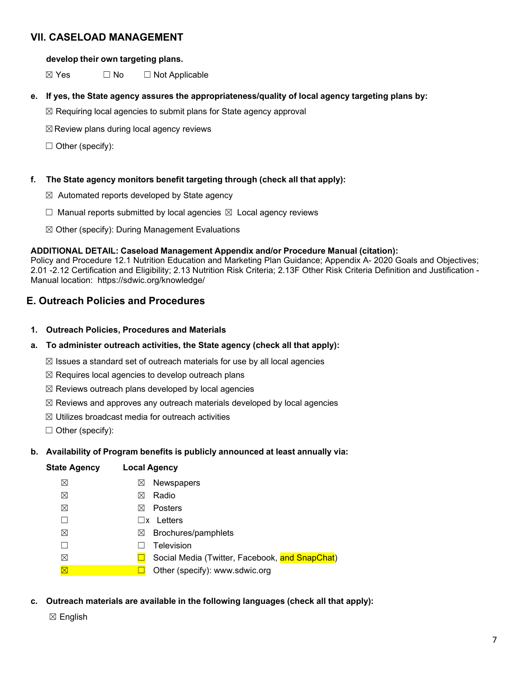#### **develop their own targeting plans.**

 $\boxtimes$  Yes  $\Box$  No  $\Box$  Not Applicable

- **e. If yes, the State agency assures the appropriateness/quality of local agency targeting plans by:**
	- ☒ Requiring local agencies to submit plans for State agency approval
	- $\boxtimes$  Review plans during local agency reviews

 $\Box$  Other (specify):

#### **f. The State agency monitors benefit targeting through (check all that apply):**

- $\boxtimes$  Automated reports developed by State agency
- $\Box$  Manual reports submitted by local agencies  $\boxtimes$  Local agency reviews
- $\boxtimes$  Other (specify): During Management Evaluations

#### **ADDITIONAL DETAIL: Caseload Management Appendix and/or Procedure Manual (citation):**

Policy and Procedure 12.1 Nutrition Education and Marketing Plan Guidance; Appendix A- 2020 Goals and Objectives; 2.01 -2.12 Certification and Eligibility; 2.13 Nutrition Risk Criteria; 2.13F Other Risk Criteria Definition and Justification - Manual location: https://sdwic.org/knowledge/

### <span id="page-6-0"></span>**E. Outreach Policies and Procedures**

**1. Outreach Policies, Procedures and Materials**

#### **a. To administer outreach activities, the State agency (check all that apply):**

- $\boxtimes$  Issues a standard set of outreach materials for use by all local agencies
- $\boxtimes$  Requires local agencies to develop outreach plans
- $\boxtimes$  Reviews outreach plans developed by local agencies
- $\boxtimes$  Reviews and approves any outreach materials developed by local agencies
- $\boxtimes$  Utilizes broadcast media for outreach activities
- $\Box$  Other (specify):

#### **b. Availability of Program benefits is publicly announced at least annually via:**

| <b>State Agency</b> | <b>Local Agency</b>                            |
|---------------------|------------------------------------------------|
| ⊠                   | <b>Newspapers</b><br>$\boxtimes$               |
| ⊠                   | Radio<br>⋈                                     |
| ⊠                   | Posters<br>⋈                                   |
|                     | Letters<br>1 IX                                |
| ⊠                   | Brochures/pamphlets<br>$\bowtie$               |
|                     | Television                                     |
| ⊠                   | Social Media (Twitter, Facebook, and SnapChat) |
| $\boxtimes$         | Other (specify): www.sdwic.org                 |

#### **c. Outreach materials are available in the following languages (check all that apply):**

☒ English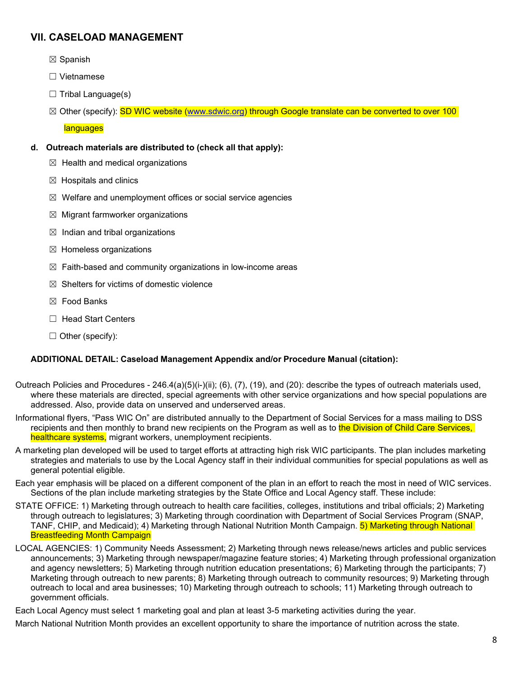- ☒ Spanish
- ☐ Vietnamese
- $\Box$  Tribal Language(s)
- $\boxtimes$  Other (specify): SD WIC website [\(www.sdwic.org\)](http://www.sdwic.org/) through Google translate can be converted to over 100

**languages** 

- **d. Outreach materials are distributed to (check all that apply):**
	- $\boxtimes$  Health and medical organizations
	- $\boxtimes$  Hospitals and clinics
	- ☒ Welfare and unemployment offices or social service agencies
	- $\boxtimes$  Migrant farmworker organizations
	- $\boxtimes$  Indian and tribal organizations
	- ☒ Homeless organizations
	- $\boxtimes$  Faith-based and community organizations in low-income areas
	- $\boxtimes$  Shelters for victims of domestic violence
	- ☒ Food Banks
	- ☐ Head Start Centers
	- $\Box$  Other (specify):

#### **ADDITIONAL DETAIL: Caseload Management Appendix and/or Procedure Manual (citation):**

- Outreach Policies and Procedures 246.4(a)(5)(i-)(ii); (6), (7), (19), and (20): describe the types of outreach materials used, where these materials are directed, special agreements with other service organizations and how special populations are addressed. Also, provide data on unserved and underserved areas.
- Informational flyers, "Pass WIC On" are distributed annually to the Department of Social Services for a mass mailing to DSS recipients and then monthly to brand new recipients on the Program as well as to the Division of Child Care Services, healthcare systems, migrant workers, unemployment recipients.
- A marketing plan developed will be used to target efforts at attracting high risk WIC participants. The plan includes marketing strategies and materials to use by the Local Agency staff in their individual communities for special populations as well as general potential eligible.
- Each year emphasis will be placed on a different component of the plan in an effort to reach the most in need of WIC services. Sections of the plan include marketing strategies by the State Office and Local Agency staff. These include:
- STATE OFFICE: 1) Marketing through outreach to health care facilities, colleges, institutions and tribal officials; 2) Marketing through outreach to legislatures; 3) Marketing through coordination with Department of Social Services Program (SNAP, TANF, CHIP, and Medicaid); 4) Marketing through National Nutrition Month Campaign. 5) Marketing through National Breastfeeding Month Campaign
- LOCAL AGENCIES: 1) Community Needs Assessment; 2) Marketing through news release/news articles and public services announcements; 3) Marketing through newspaper/magazine feature stories; 4) Marketing through professional organization and agency newsletters; 5) Marketing through nutrition education presentations; 6) Marketing through the participants; 7) Marketing through outreach to new parents; 8) Marketing through outreach to community resources; 9) Marketing through outreach to local and area businesses; 10) Marketing through outreach to schools; 11) Marketing through outreach to government officials.

Each Local Agency must select 1 marketing goal and plan at least 3-5 marketing activities during the year.

March National Nutrition Month provides an excellent opportunity to share the importance of nutrition across the state.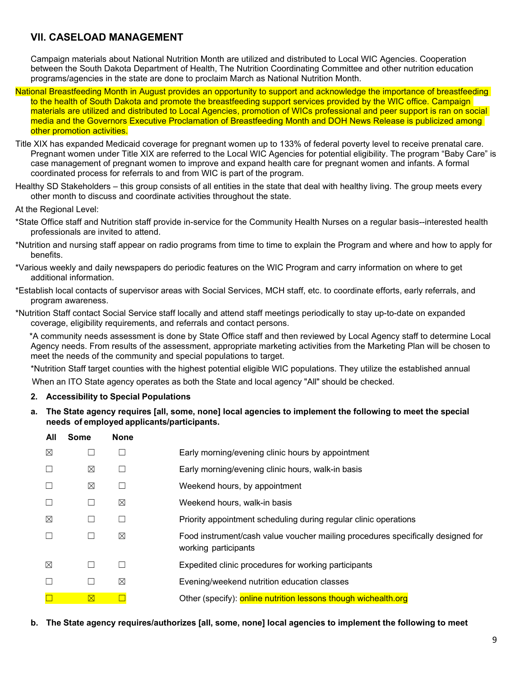Campaign materials about National Nutrition Month are utilized and distributed to Local WIC Agencies. Cooperation between the South Dakota Department of Health, The Nutrition Coordinating Committee and other nutrition education programs/agencies in the state are done to proclaim March as National Nutrition Month.

- National Breastfeeding Month in August provides an opportunity to support and acknowledge the importance of breastfeeding to the health of South Dakota and promote the breastfeeding support services provided by the WIC office. Campaign materials are utilized and distributed to Local Agencies, promotion of WICs professional and peer support is ran on social media and the Governors Executive Proclamation of Breastfeeding Month and DOH News Release is publicized among other promotion activities.
- Title XIX has expanded Medicaid coverage for pregnant women up to 133% of federal poverty level to receive prenatal care. Pregnant women under Title XIX are referred to the Local WIC Agencies for potential eligibility. The program "Baby Care" is case management of pregnant women to improve and expand health care for pregnant women and infants. A formal coordinated process for referrals to and from WIC is part of the program.
- Healthy SD Stakeholders this group consists of all entities in the state that deal with healthy living. The group meets every other month to discuss and coordinate activities throughout the state.

At the Regional Level:

- \*State Office staff and Nutrition staff provide in-service for the Community Health Nurses on a regular basis--interested health professionals are invited to attend.
- \*Nutrition and nursing staff appear on radio programs from time to time to explain the Program and where and how to apply for benefits.
- \*Various weekly and daily newspapers do periodic features on the WIC Program and carry information on where to get additional information.
- \*Establish local contacts of supervisor areas with Social Services, MCH staff, etc. to coordinate efforts, early referrals, and program awareness.
- \*Nutrition Staff contact Social Service staff locally and attend staff meetings periodically to stay up-to-date on expanded coverage, eligibility requirements, and referrals and contact persons.

\*A community needs assessment is done by State Office staff and then reviewed by Local Agency staff to determine Local Agency needs. From results of the assessment, appropriate marketing activities from the Marketing Plan will be chosen to meet the needs of the community and special populations to target.

\*Nutrition Staff target counties with the highest potential eligible WIC populations. They utilize the established annual When an ITO State agency operates as both the State and local agency "All" should be checked.

- **2. Accessibility to Special Populations**
- a. The State agency requires [all, some, none] local agencies to implement the following to meet the special **needs of employed applicants/participants.**

| All         | Some          | <b>None</b> |                                                                                                         |
|-------------|---------------|-------------|---------------------------------------------------------------------------------------------------------|
| ⊠           |               |             | Early morning/evening clinic hours by appointment                                                       |
| $\Box$      | ⊠             |             | Early morning/evening clinic hours, walk-in basis                                                       |
| $\Box$      | ⊠             |             | Weekend hours, by appointment                                                                           |
| $\Box$      |               | ⊠           | Weekend hours, walk-in basis                                                                            |
| ⊠           |               |             | Priority appointment scheduling during regular clinic operations                                        |
| $\Box$      |               | X           | Food instrument/cash value voucher mailing procedures specifically designed for<br>working participants |
| $\boxtimes$ | $\mathsf{L}$  |             | Expedited clinic procedures for working participants                                                    |
| $\Box$      | $\mathcal{L}$ | ⊠           | Evening/weekend nutrition education classes                                                             |
| $\Box$      | $\boxtimes$   |             | Other (specify): online nutrition lessons though wichealth.org                                          |
|             |               |             |                                                                                                         |

**b. The State agency requires/authorizes [all, some, none] local agencies to implement the following to meet**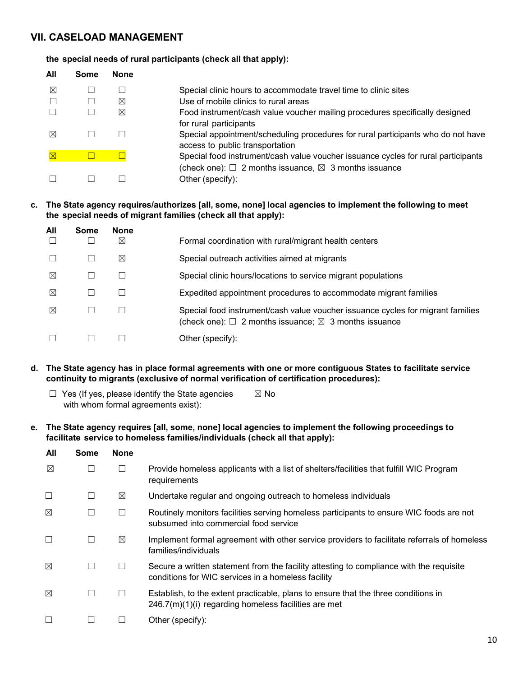#### **the special needs of rural participants (check all that apply):**

| All         | Some | None |                                                                                                                     |
|-------------|------|------|---------------------------------------------------------------------------------------------------------------------|
| ⊠           |      |      | Special clinic hours to accommodate travel time to clinic sites                                                     |
|             |      | ⊠    | Use of mobile clinics to rural areas                                                                                |
|             |      | ⊠    | Food instrument/cash value voucher mailing procedures specifically designed<br>for rural participants               |
| ⊠           |      |      | Special appointment/scheduling procedures for rural participants who do not have<br>access to public transportation |
| $\boxtimes$ |      |      | Special food instrument/cash value voucher issuance cycles for rural participants                                   |
|             |      |      | (check one): $\Box$ 2 months issuance, $\boxtimes$ 3 months issuance<br>Other (specify):                            |

#### **c. The State agency requires/authorizes [all, some, none] local agencies to implement the following to meet the special needs of migrant families (check all that apply):**

| All | Some | <b>None</b> |                                                                                                                                                         |
|-----|------|-------------|---------------------------------------------------------------------------------------------------------------------------------------------------------|
|     |      | $\boxtimes$ | Formal coordination with rural/migrant health centers                                                                                                   |
|     |      | ⊠           | Special outreach activities aimed at migrants                                                                                                           |
| ⊠   |      |             | Special clinic hours/locations to service migrant populations                                                                                           |
| ⊠   |      |             | Expedited appointment procedures to accommodate migrant families                                                                                        |
| ⊠   |      |             | Special food instrument/cash value voucher issuance cycles for migrant families<br>(check one): $\Box$ 2 months issuance; $\boxtimes$ 3 months issuance |
|     |      |             | Other (specify):                                                                                                                                        |

- **d. The State agency has in place formal agreements with one or more contiguous States to facilitate service continuity to migrants (exclusive of normal verification of certification procedures):**
	- $\Box$  Yes (If yes, please identify the State agencies  $\boxtimes$  No with whom formal agreements exist):
- **e. The State agency requires [all, some, none] local agencies to implement the following proceedings to facilitate service to homeless families/individuals (check all that apply):**

| All         | <b>Some</b> | <b>None</b> |                                                                                                                                               |
|-------------|-------------|-------------|-----------------------------------------------------------------------------------------------------------------------------------------------|
| ⊠           |             |             | Provide homeless applicants with a list of shelters/facilities that fulfill WIC Program<br>requirements                                       |
| Г           | ш           | $\boxtimes$ | Undertake regular and ongoing outreach to homeless individuals                                                                                |
| $\boxtimes$ | L           |             | Routinely monitors facilities serving homeless participants to ensure WIC foods are not<br>subsumed into commercial food service              |
|             | ш           | ⊠           | Implement formal agreement with other service providers to facilitate referrals of homeless<br>families/individuals                           |
| ⊠           | П           |             | Secure a written statement from the facility attesting to compliance with the requisite<br>conditions for WIC services in a homeless facility |
| $\boxtimes$ | L           |             | Establish, to the extent practicable, plans to ensure that the three conditions in<br>$246.7(m)(1)(i)$ regarding homeless facilities are met  |
|             |             |             | Other (specify):                                                                                                                              |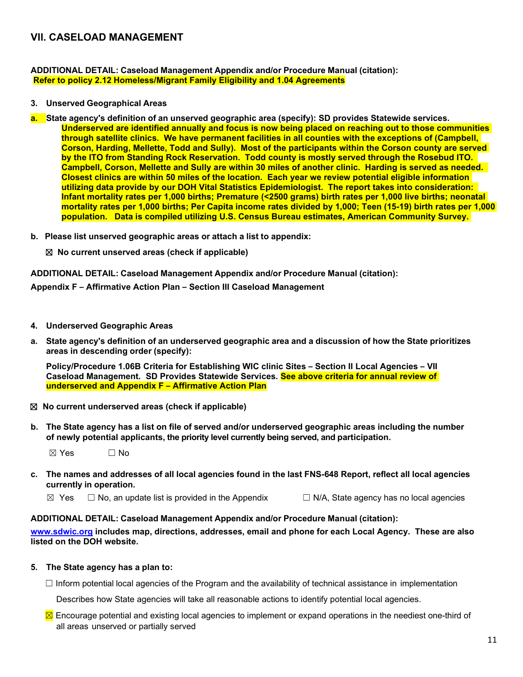**ADDITIONAL DETAIL: Caseload Management Appendix and/or Procedure Manual (citation): Refer to policy 2.12 Homeless/Migrant Family Eligibility and 1.04 Agreements**

- **3. Unserved Geographical Areas**
- **a. State agency's definition of an unserved geographic area (specify): SD provides Statewide services. Underserved are identified annually and focus is now being placed on reaching out to those communities through satellite clinics. We have permanent facilities in all counties with the exceptions of (Campbell, Corson, Harding, Mellette, Todd and Sully). Most of the participants within the Corson county are served by the ITO from Standing Rock Reservation. Todd county is mostly served through the Rosebud ITO. Campbell, Corson, Mellette and Sully are within 30 miles of another clinic. Harding is served as needed. Closest clinics are within 50 miles of the location. Each year we review potential eligible information utilizing data provide by our DOH Vital Statistics Epidemiologist. The report takes into consideration: Infant mortality rates per 1,000 births; Premature (<2500 grams) birth rates per 1,000 live births; neonatal mortality rates per 1,000 births; Per Capita income rates divided by 1,000; Teen (15-19) birth rates per 1,000 population. Data is compiled utilizing U.S. Census Bureau estimates, American Community Survey.**
- **b. Please list unserved geographic areas or attach a list to appendix:**

☒ **No current unserved areas (check if applicable)**

**ADDITIONAL DETAIL: Caseload Management Appendix and/or Procedure Manual (citation):**

**Appendix F – Affirmative Action Plan – Section III Caseload Management**

- **4. Underserved Geographic Areas**
- a. State agency's definition of an underserved geographic area and a discussion of how the State prioritizes **areas in descending order (specify):**

**Policy/Procedure 1.06B Criteria for Establishing WIC clinic Sites – Section II Local Agencies – VII Caseload Management. SD Provides Statewide Services. See above criteria for annual review of underserved and Appendix F – Affirmative Action Plan**

- ☒ **No current underserved areas (check if applicable)**
- b. The State agency has a list on file of served and/or underserved geographic areas including the number **of newly potential applicants, the priority level currently being served, and participation.**

 $\boxtimes$  Yes  $\Box$  No

- c. The names and addresses of all local agencies found in the last FNS-648 Report, reflect all local agencies **currently in operation.**
	- $\boxtimes$  Yes  $\Box$  No, an update list is provided in the Appendix  $\Box$  N/A, State agency has no local agencies

#### **ADDITIONAL DETAIL: Caseload Management Appendix and/or Procedure Manual (citation):**

**[www.sdwic.org](http://www.sdwic.org/) includes map, directions, addresses, email and phone for each Local Agency. These are also listed on the DOH website.**

#### **5. The State agency has a plan to:**

 $\Box$  Inform potential local agencies of the Program and the availability of technical assistance in implementation

Describes how State agencies will take all reasonable actions to identify potential local agencies.

 $\Sigma$  Encourage potential and existing local agencies to implement or expand operations in the neediest one-third of all areas unserved or partially served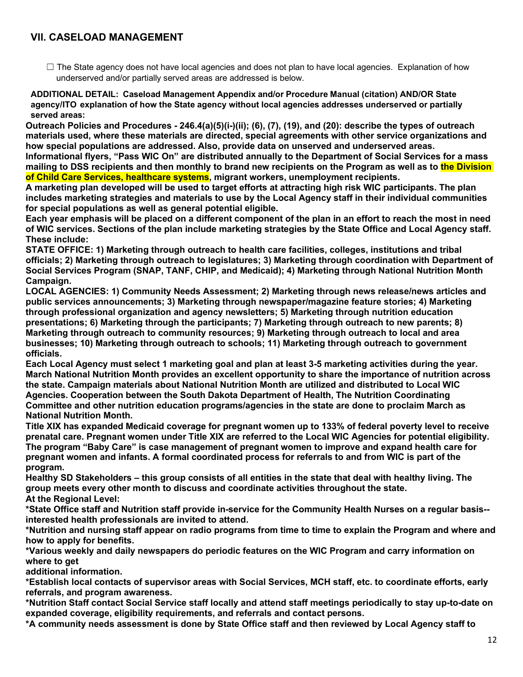☐ The State agency does not have local agencies and does not plan to have local agencies. Explanation of how underserved and/or partially served areas are addressed is below.

**ADDITIONAL DETAIL: Caseload Management Appendix and/or Procedure Manual (citation) AND/OR State agency/ITO explanation of how the State agency without local agencies addresses underserved or partially served areas:**

**Outreach Policies and Procedures - 246.4(a)(5)(i-)(ii); (6), (7), (19), and (20): describe the types of outreach materials used, where these materials are directed, special agreements with other service organizations and how special populations are addressed. Also, provide data on unserved and underserved areas.**

**Informational flyers, "Pass WIC On" are distributed annually to the Department of Social Services for a mass mailing to DSS recipients and then monthly to brand new recipients on the Program as well as to the Division of Child Care Services, healthcare systems, migrant workers, unemployment recipients.**

**A marketing plan developed will be used to target efforts at attracting high risk WIC participants. The plan includes marketing strategies and materials to use by the Local Agency staff in their individual communities for special populations as well as general potential eligible.**

**Each year emphasis will be placed on a different component of the plan in an effort to reach the most in need of WIC services. Sections of the plan include marketing strategies by the State Office and Local Agency staff. These include:**

**STATE OFFICE: 1) Marketing through outreach to health care facilities, colleges, institutions and tribal officials; 2) Marketing through outreach to legislatures; 3) Marketing through coordination with Department of Social Services Program (SNAP, TANF, CHIP, and Medicaid); 4) Marketing through National Nutrition Month Campaign.**

**LOCAL AGENCIES: 1) Community Needs Assessment; 2) Marketing through news release/news articles and public services announcements; 3) Marketing through newspaper/magazine feature stories; 4) Marketing through professional organization and agency newsletters; 5) Marketing through nutrition education presentations; 6) Marketing through the participants; 7) Marketing through outreach to new parents; 8) Marketing through outreach to community resources; 9) Marketing through outreach to local and area businesses; 10) Marketing through outreach to schools; 11) Marketing through outreach to government officials.**

**Each Local Agency must select 1 marketing goal and plan at least 3-5 marketing activities during the year. March National Nutrition Month provides an excellent opportunity to share the importance of nutrition across the state. Campaign materials about National Nutrition Month are utilized and distributed to Local WIC Agencies. Cooperation between the South Dakota Department of Health, The Nutrition Coordinating Committee and other nutrition education programs/agencies in the state are done to proclaim March as National Nutrition Month.**

**Title XIX has expanded Medicaid coverage for pregnant women up to 133% of federal poverty level to receive prenatal care. Pregnant women under Title XIX are referred to the Local WIC Agencies for potential eligibility. The program "Baby Care" is case management of pregnant women to improve and expand health care for pregnant women and infants. A formal coordinated process for referrals to and from WIC is part of the program.**

**Healthy SD Stakeholders – this group consists of all entities in the state that deal with healthy living. The group meets every other month to discuss and coordinate activities throughout the state. At the Regional Level:**

**\*State Office staff and Nutrition staff provide in-service for the Community Health Nurses on a regular basis- interested health professionals are invited to attend.**

**\*Nutrition and nursing staff appear on radio programs from time to time to explain the Program and where and how to apply for benefits.**

**\*Various weekly and daily newspapers do periodic features on the WIC Program and carry information on where to get**

**additional information.**

**\*Establish local contacts of supervisor areas with Social Services, MCH staff, etc. to coordinate efforts, early referrals, and program awareness.**

**\*Nutrition Staff contact Social Service staff locally and attend staff meetings periodically to stay up-to-date on expanded coverage, eligibility requirements, and referrals and contact persons.**

**\*A community needs assessment is done by State Office staff and then reviewed by Local Agency staff to**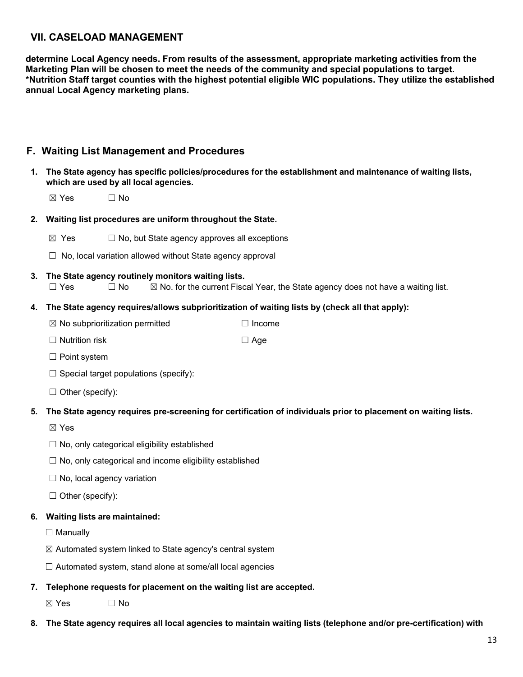**determine Local Agency needs. From results of the assessment, appropriate marketing activities from the Marketing Plan will be chosen to meet the needs of the community and special populations to target. \*Nutrition Staff target counties with the highest potential eligible WIC populations. They utilize the established annual Local Agency marketing plans.**

## <span id="page-12-0"></span>**F. Waiting List Management and Procedures**

**1. The State agency has specific policies/procedures for the establishment and maintenance of waiting lists, which are used by all local agencies.**

 $\boxtimes$  Yes  $\Box$  No

- **2. Waiting list procedures are uniform throughout the State.**
	- $\boxtimes$  Yes  $\Box$  No, but State agency approves all exceptions
	- $\Box$  No, local variation allowed without State agency approval
- **3. The State agency routinely monitors waiting lists.**  $\Box$  Yes  $\Box$  No  $\boxtimes$  No. for the current Fiscal Year, the State agency does not have a waiting list.

#### **4. The State agency requires/allows subprioritization of waiting lists by (check all that apply):**

- ☒ No subprioritization permitted ☐ Income
- ☐ Nutrition risk ☐ Age
- ☐ Point system
- $\Box$  Special target populations (specify):
- $\Box$  Other (specify):

#### **5. The State agency requires pre-screening for certification of individuals prior to placement on waiting lists.**

- ☒ Yes
- $\Box$  No, only categorical eligibility established
- ☐ No, only categorical and income eligibility established
- $\Box$  No, local agency variation
- $\Box$  Other (specify):

# **6. Waiting lists are maintained:**

□ Manually

- $\boxtimes$  Automated system linked to State agency's central system
- $\Box$  Automated system, stand alone at some/all local agencies
- **7. Telephone requests for placement on the waiting list are accepted.**

 $\boxtimes$  Yes  $\Box$  No

8. The State agency requires all local agencies to maintain waiting lists (telephone and/or pre-certification) with